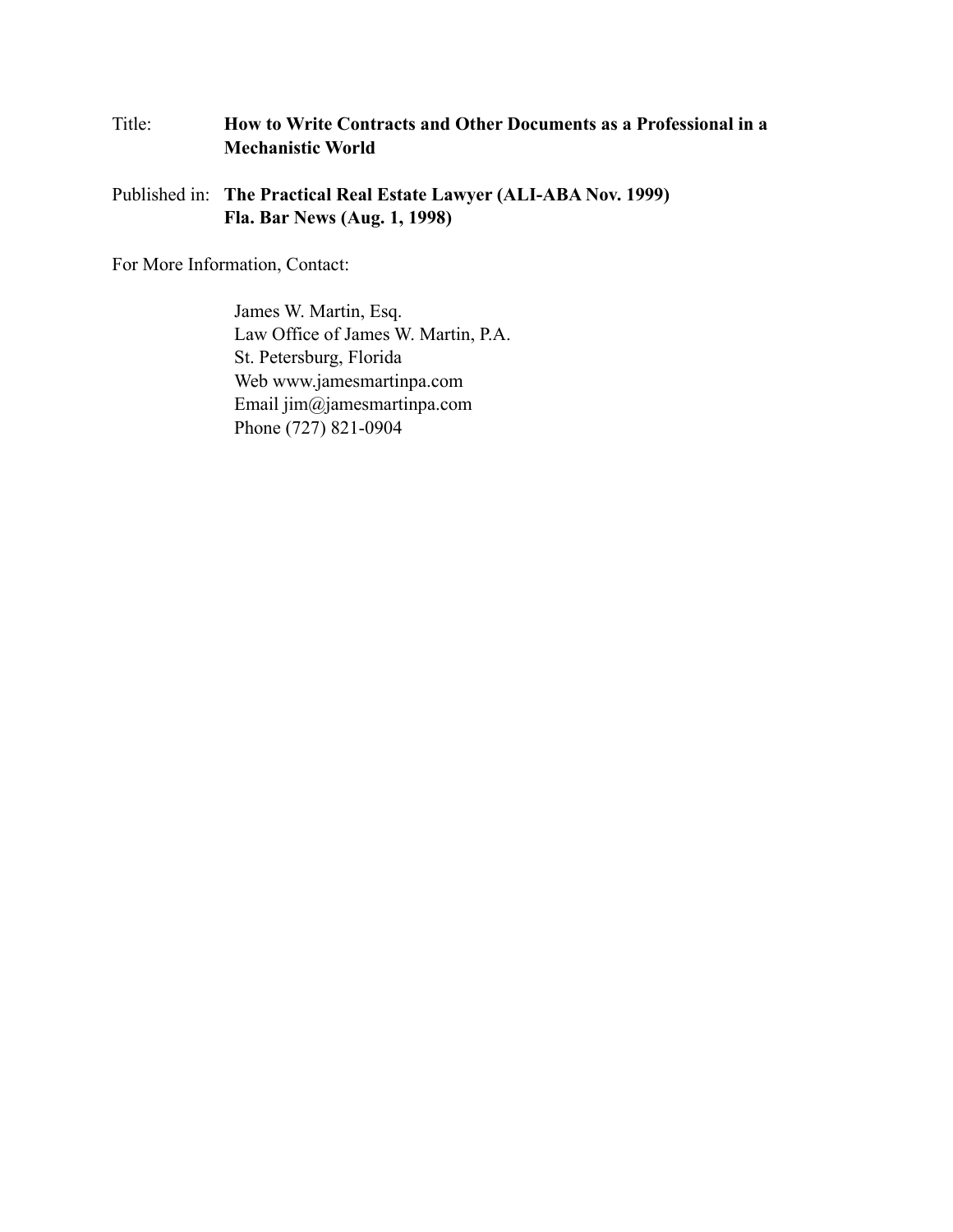# Title: **How to Write Contracts and Other Documents as a Professional in a Mechanistic World**

Published in: **The Practical Real Estate Lawyer (ALI-ABA Nov. 1999) Fla. Bar News (Aug. 1, 1998)**

For More Information, Contact:

James W. Martin, Esq. Law Office of James W. Martin, P.A. St. Petersburg, Florida Web www.jamesmartinpa.com Email jim@jamesmartinpa.com Phone (727) 821-0904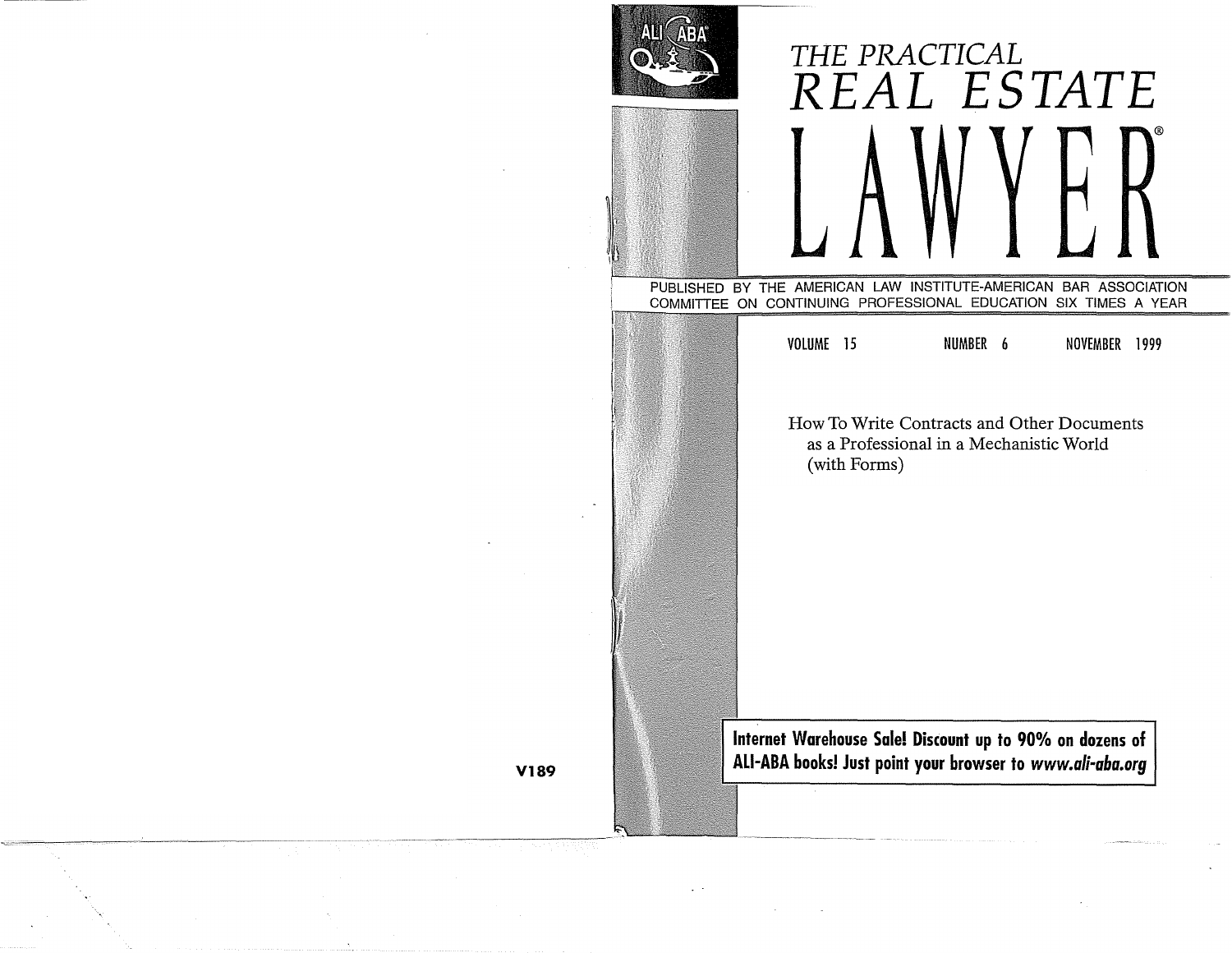|    | ABA<br>Aq |                                                                                                                                     | THE PRACTICAL<br>REAL ESTATE                                                                       |               |  |
|----|-----------|-------------------------------------------------------------------------------------------------------------------------------------|----------------------------------------------------------------------------------------------------|---------------|--|
|    |           | PUBLISHED BY THE AMERICAN LAW INSTITUTE-AMERICAN BAR ASSOCIATION<br>COMMITTEE ON CONTINUING PROFESSIONAL EDUCATION SIX TIMES A YEAR |                                                                                                    |               |  |
|    |           | VOLUME 15<br>(with Forms)                                                                                                           | NUMBER 6<br>How To Write Contracts and Other Documents<br>as a Professional in a Mechanistic World | NOVEMBER 1999 |  |
| 89 |           | Internet Warehouse Sale! Discount up to 90% on dozens of<br>ALI-ABA books! Just point your browser to www.ali-aba.org               |                                                                                                    |               |  |

To register, see page 1. **V189**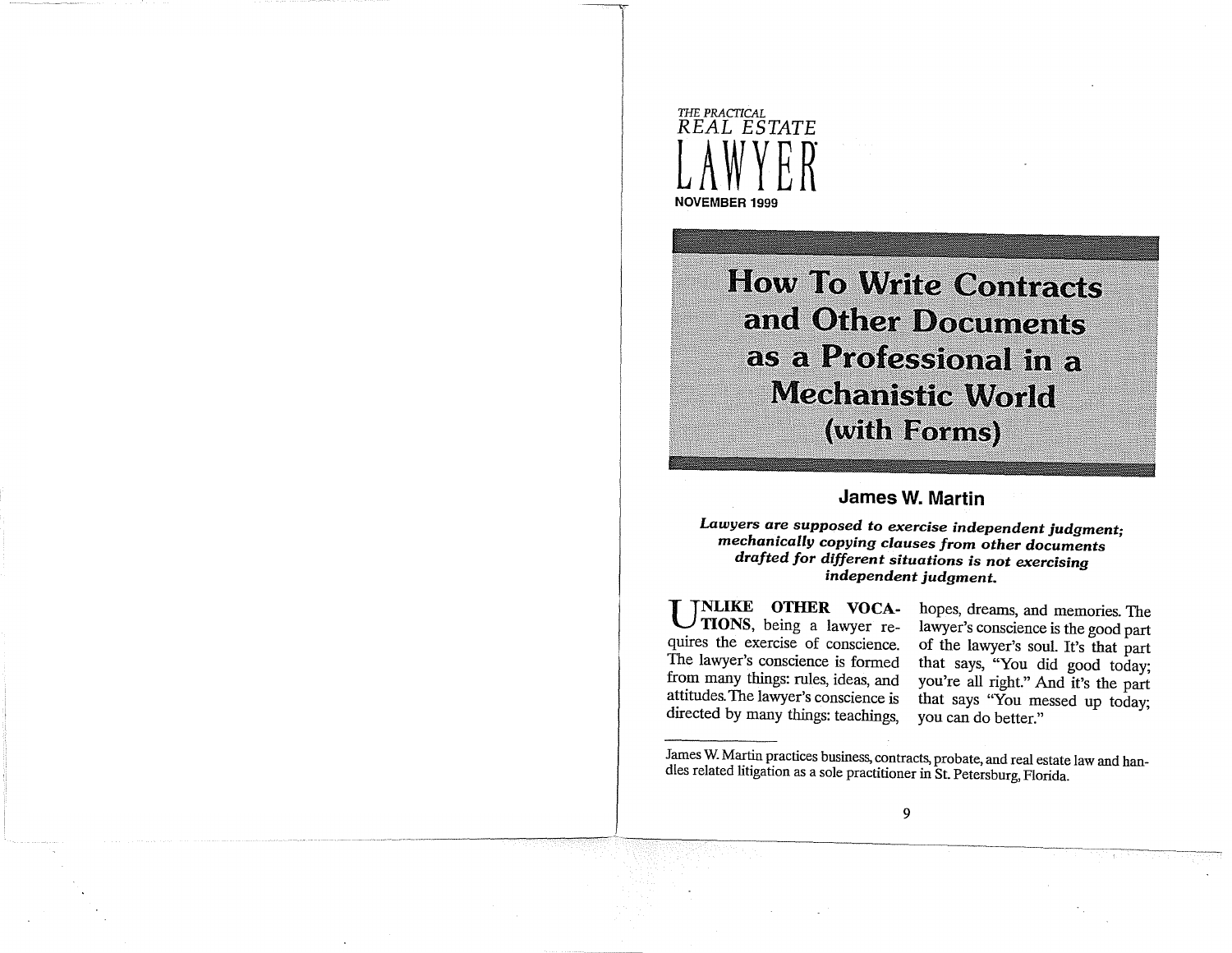

**How To Write Contracts** and Other Documents as a Professional in a **Mechanistic World** (with Forms)

## **James W. Martin**

*Lawyers are supposed to exercise independent judgment· mechanically copying clauses from other documents* • *drafted for different situations is not exercising independent judgment.* 

**UNLIKE OTHER VOCA-TIONS,** being a lawyer requires the exercise of conscience. The lawyer's conscience is formed from many things: rules, ideas, and attitudes. The lawyer's conscience is directed by many things: teachings,

hopes, dreams, and memories. The lawyer's conscience is the good part of the lawyer's soul. It's that part that says, "You did good today; you're all right." And it's the part that says "You messed up today; you can do better."

James W. Martin practices business, contracts, probate, and real estate law and handles related litigation as a sole practitioner in St. Petersburg, Florida.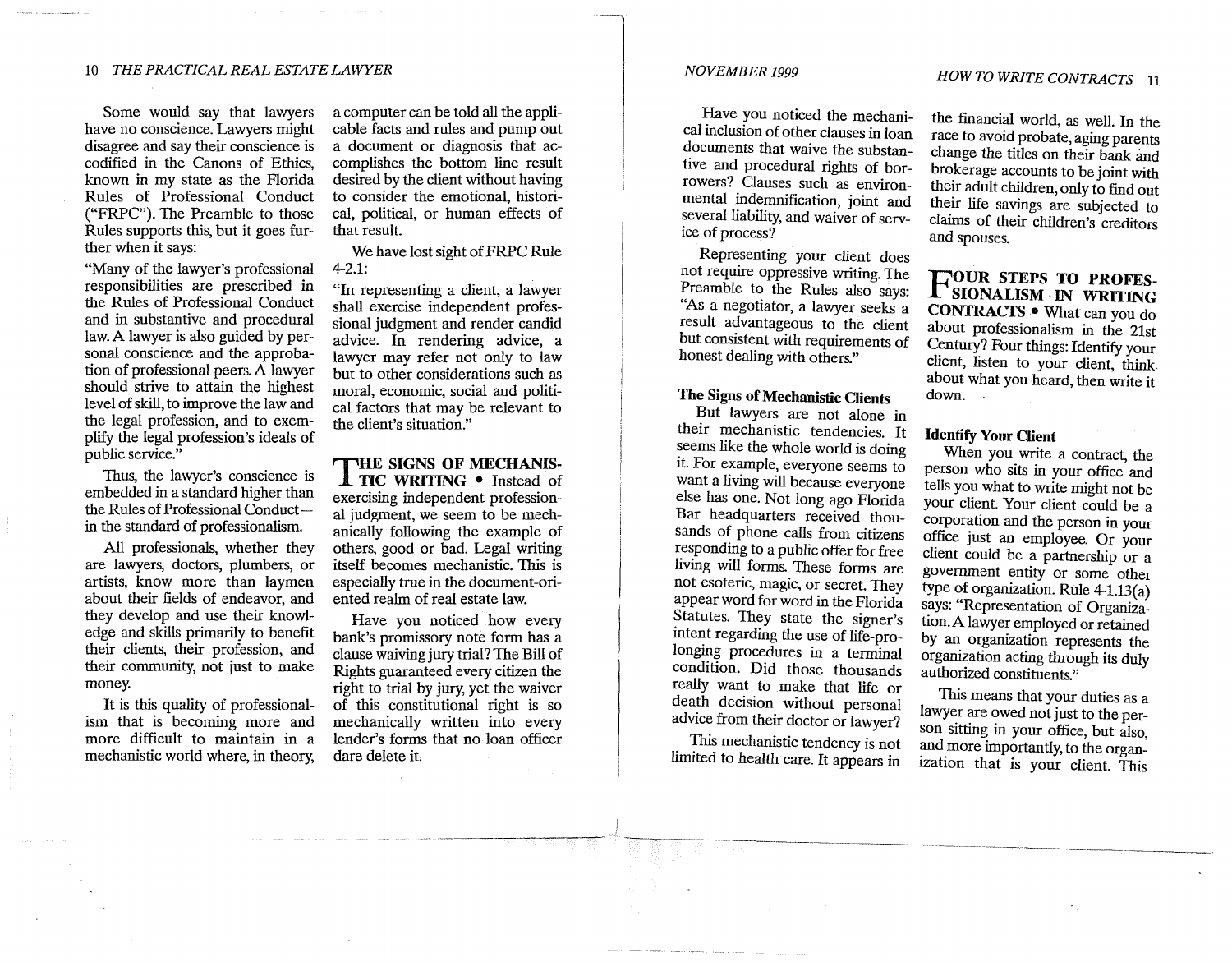Some would say that lawyers have no conscience. Lawyers might disagree and say their conscience is codified in the Canons of Ethics, known in my state as the Florida Rules of Professional Conduct ("FRPC"). The Preamble to those Rules supports this, but it goes further when it says:

"Many of the lawyer's professional responsibilities are prescribed in the Rules of Professional Conduct and in substantive and procedural law.A lawyer is also guided by personal conscience and the approbation of professional peers. A lawyer should strive to attain the highest level of skill, to improve the law and the legal profession, and to exemplify the legal profession's ideals of public service."

Thus, the lawyer's conscience is embedded in a standard higher than the Rules of Professional Conductin the standard of professionalism.

All professionals, whether they are lawyers, doctors, plumbers, or artists, know more than laymen about their fields of endeavor, and they develop and use their knowledge and skills primarily to benefit their clients, their profession, and their community, not just to make money.

It is this quality of professionalism that is becoming more and more difficult to maintain in a mechanistic world where, in theory, a computer can be told all the applicable facts and rules and pump out a document or diagnosis that accomplishes the bottom line result desired by the client without having to consider the emotional, historical, political, or human effects of that result.

We have lost sight of FRPC Rule 4-2.1:

"In representing a client, a lawyer shall exercise independent professional judgment and render candid advice. In rendering advice, a lawyer may refer not only to law but to other considerations such as moral, economic, social and political factors that may be relevant to the client's situation."

**THE SIGNS OF MECHANIS-TIC WRITING** • Instead of exercising independent professional judgment, we seem to be mechanically following the example of others, good or bad. Legal writing itself becomes mechanistic. This is especially true in the document-oriented realm of real estate law.

Have you noticed how every bank's promissory note form has a clause waiving jury trial? The Bill of Rights guaranteed every citizen the right to trial by jury, yet the waiver of this constitutional right is so mechanically written into every lender's forms that no loan officer dare delete it.

### *NOVEMBER 1999*

Have you noticed the mechanical inclusion of other clauses in loan documents that waive the substantive and procedural rights of borrowers? Clauses such as environmental indemnification, joint and several liability, and waiver of service of process?

Representing your client does not require oppressive writing. The Preamble to the Rules also says: ''As a negotiator, a lawyer seeks a result advantageous to the client but consistent with requirements of honest dealing with others."

## **The Signs of Mechanistic Clients**

But lawyers are not alone in their mechanistic tendencies. It seems like the whole world is doing it. For example, everyone seems to want a living will because everyone else has one. Not long ago Florida Bar headquarters received thousands of phone calls from citizens responding to a public offer for free living will forms. These forms are not esoteric, magic, or secret. They appear word for word in the Florida Statutes. They state the signer's intent regarding the use of life-prolonging procedures in a terminal condition. Did those thousands really want to make that life or death decision without personal advice from their doctor or lawyer?

This mechanistic tendency is not limited to health care. It appears in

the financial world, as well. In the race to avoid probate, aging parents change the titles on their bank and brokerage accounts to be joint with their adult children, only to find out their life savings are subjected to claims of their children's creditors and spouses.

**FOUR STEPS TO PROFES-SIONALISM IN WRITING CONTRACTS** • What can you do about professionalism in the 21st Century? Four things: Identify your client, listen to your client, think about what you heard, then write it down.

## **Identify Your Client**

When you write a contract, the person who sits in your office and tells you what to write might not be your client. Your client could be a corporation and the person in your office just an employee. Or your client could be a partnership or a government entity or some other type of organization. Rule 4-l.13(a) says: "Representation of Organization. A lawyer employed or retained by an organization represents the organization acting through its duly authorized constituents."

This means that your duties as a lawyer are owed not just to the person sitting in your office, but also, and more importantly, to the organization that is your client. This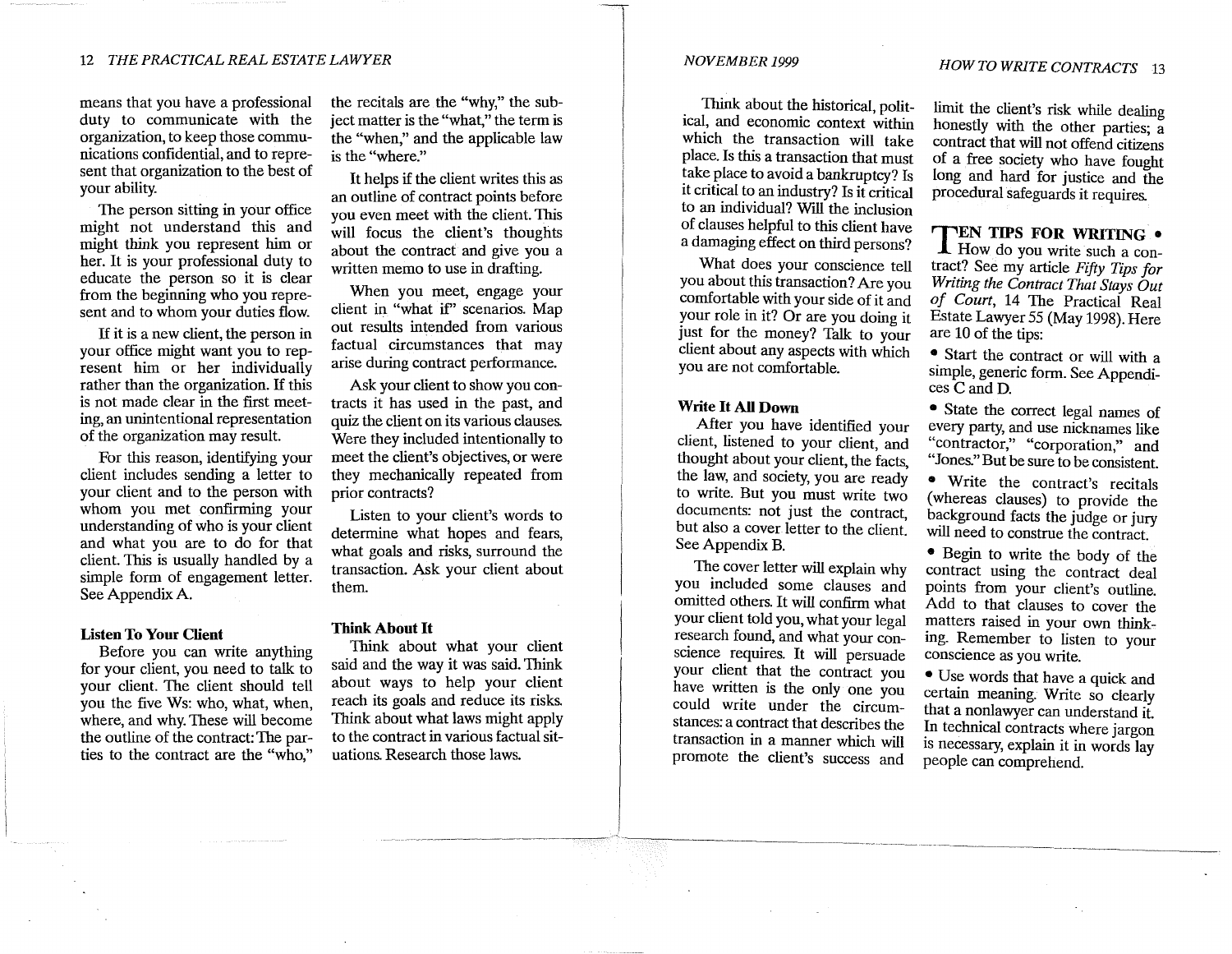means that you have a professional duty to communicate with the organization, to keep those communications confidential, and to represent that organization to the best of your ability.

The person sitting in your office might not understand this and might think you represent him or her. It is your professional duty to educate the person so it is clear from the beginning who you represent and to whom your duties flow.

If it is a new client, the person in your office might want you to represent him or her individually rather than the organization. If this is not made clear in the first meeting, an unintentional representation of the organization may result.

For this reason, identifying your client includes sending a letter to your client and to the person with whom you met confirming your understanding of who is your client and what you are to do for that client. This is usually handled by a simple form of engagement letter. See Appendix A.

### **Listen To Your Client**

Before you can write anything for your client, you need to talk to your client. The client should tell you the five Ws: who, what, when, where, and why. These will become the outline of the contract: The parties to the contract are the "who,"

the recitals are the "why," the subject matter is the "what," the term is the "when," and the applicable law is the "where."

It helps if the client writes this as an outline of contract points before you even meet with the client. This will focus the client's thoughts about the contract and give you a written memo to use in drafting.

When you meet, engage your client in "what if' scenarios. Map out results intended from various factual circumstances that may arise during contract performance.

Ask your client to show you contracts it has used in the past, and quiz the client on its various clauses. Were they included intentionally to meet the client's objectives, or were they mechanically repeated from prior contracts?

Listen to your client's words to determine what hopes and fears, what goals and risks, surround the transaction. Ask your client about them.

### **Think About It**

Think about what your client said and the way it was said. Think about ways to help your client reach its goals and reduce its risks. Think about what laws might apply to the contract in various factual situations. Research those laws.

### *NOVEMBER 1999*

Think about the historical, political, and economic context within which the transaction will take place. Is this a transaction that must take place to avoid a bankruptcy? Is it critical to an industry? Is it critical to an individual? Will the inclusion of clauses helpful to this client have a damaging effect on third persons?

What does your conscience tell you about this transaction? Are you comfortable with your side of it and your role in it? Or are you doing it just for the money? Talk to your client about any aspects with which you are not comfortable.

### **Write It All Down**

After you have identified your client, listened to your client, and thought about your client, the facts, the law, and society, you are ready to write. But you must write two documents: not just the contract, but also a cover letter to the client. See Appendix B.

The cover letter will explain why you included some clauses and omitted others. It will confirm what your client told you, what your legal research found, and what your conscience requires. It will persuade your client that the contract you have written is the only one you could write under the circumstances: a contract that describes the transaction in a manner which will promote the client's success and

limit the client's risk while dealing honestly with the other parties; a contract that will not offend citizens of a free society who have fought long and hard for justice and the procedural safeguards it requires.

## **TEN TIPS FOR WRITING** •

**I** How do you write such a contract? See my article *Fifty Tips for Writing the Contract That Stays Out of Court,* 14 The Practical Real Estate Lawyer 55 (May 1998). Here are 10 of the tips:

• Start the contract or will with a simple, generic form. See Appendices C and D.

• State the correct legal names of every party, and use nicknames like "contractor," "corporation," and "Jones." But be sure to be consistent.

• Write the contract's recitals ( whereas clauses) to provide the background facts the judge or jury will need to construe the contract.

• Begin to write the body of the contract using the contract deal points from your client's outline. Add to that clauses to cover the matters raised in your own thinking. Remember to listen to your conscience as you write.

• Use words that have a quick and certain meaning. Write so clearly that a nonlawyer can understand it. In technical contracts where jargon is necessary, explain it in words lay people can comprehend.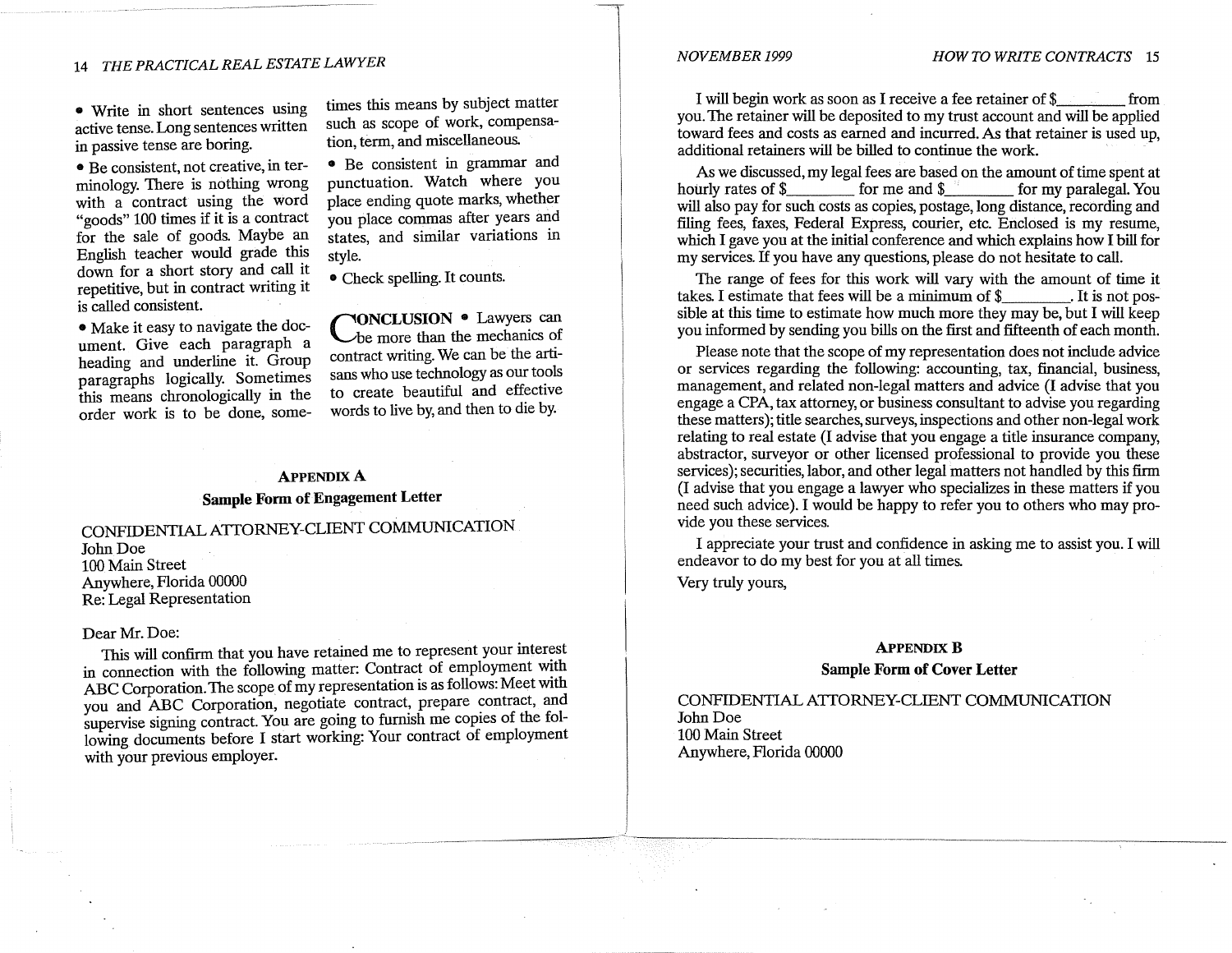### • Write in short sentences using active tense. Long sentences written in passive tense are boring.

• Be consistent, not creative, in terminology. There is nothing wrong with a contract using the word "goods" 100 times if it is a contract for the sale of goods. Maybe an English teacher would grade this down for a short story and call it repetitive, but in contract writing it is called consistent.

• Make it easy to navigate the document. Give each paragraph a heading and underline it. Group paragraphs logically. Sometimes this means chronologically in the order work is to be done, sometimes this means by subject matter such as scope of work, compensation, term, and miscellaneous.

• Be consistent in grammar and punctuation. Watch where you place ending quote marks, whether you place commas after years and states, and similar variations in style.

### • Check spelling. It counts.

**CONCLUSION** • Lawyers can be more than the mechanics of contract writing. We can be the artisans who use technology as our tools to create beautiful and effective words to live by, and then to die by.

## **APPENDIX A Sample Form of Engagement Letter**

**CONFIDENTIAL ATTORNEY-CLIENT COMMUNICATION**  John Doe 100 Main Street Anywhere, Florida 00000 Re: Legal Representation

### Dear **Mr.** Doe:

This **will** confirm that you have retained me to represent your interest in connection with the following matter: Contract of employment with ABC Corporation. The scope of my representation is as follows: Meet with you and ABC Corporation, negotiate contract, prepare contract, and supervise signing contract. You are going to furnish me copies of the following documents before I start working: Your contract of employment with your previous employer.

### I will begin work as soon as I receive a fee retainer of\$ . from you. The retainer will be deposited to my trust account and will be applied toward fees and costs as earned and incurred. As that retainer is used up, additional retainers will be billed to continue the work.

As we discussed, my legal fees are based on the amount of time spent at hourly rates of  $\frac{1}{2}$  for me and  $\frac{1}{2}$  for my paralegal. You will also pay for such costs as copies, postage, long distance, recording and filing fees, faxes, Federal Express, courier, etc. Enclosed is my resume, which I gave you at the initial conference and which explains how I bill for my services. If you have any questions, please do not hesitate to call.

The range of fees for this work will vary with the amount of time it takes. I estimate that fees will be a minimum of \$ \_\_\_\_\_\_\_. It is not possible at this time to estimate how much more they may be, but I will keep you informed by sendmg you bills on the first and fifteenth of each month.

Please note that the scope of my representation does not include advice or services regarding the following: accounting, tax, financial, business, management, and related non-legal matters and advice (I advise that you engage a CPA, tax attorney, or business consultant to advise you regarding these matters); title searches, surveys, inspections and other non-legal work relating to real estate (I advise that you engage a title insurance company, abstractor, surveyor or other licensed professional to provide you these services); securities, labor, and other legal matters not handled by this firm (I advise that you engage a lawyer who specializes in these matters if you need such advice). I would be happy to refer you to others who may provide you these services.

I appreciate your trust and confidence in asking me to assist you. I will endeavor to do my best for you at all times.

Very truly yours,

### **APPENDIX B**

**Sample Form of Cover Letter** 

CONFIDENTIAL ATTORNEY-CLIENT COMMUNICATION John Doe 100 Main Street Anywhere, Florida 00000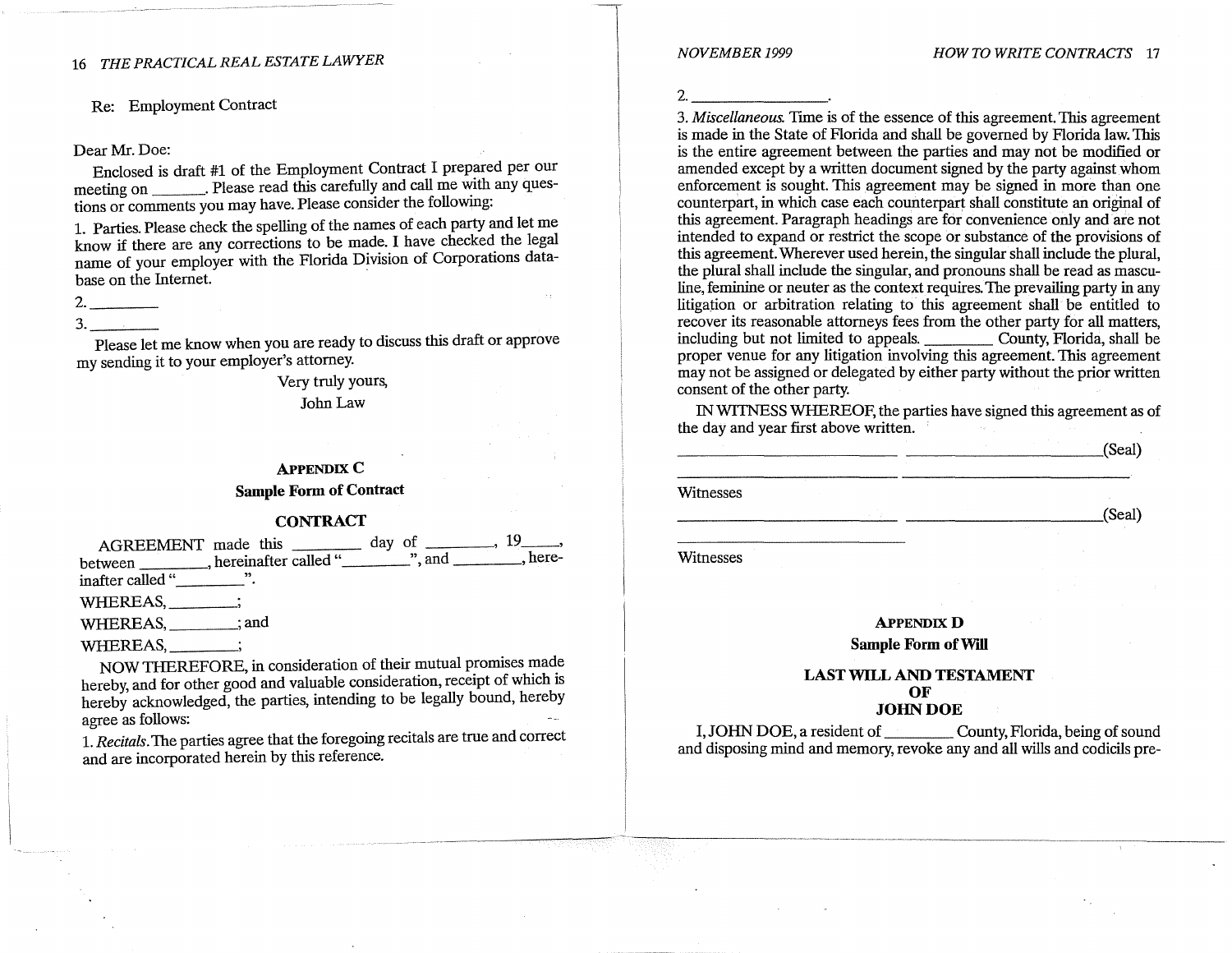Re: Employment Contract

### Dear Mr. Doe:

Enclosed is draft #1 of the Employment Contract I prepared per our meeting on \_\_\_ . Please read this carefully and call me with any questions or comments you may have. Please consider the following:

1. Parties. Please check the spelling of the names of each party and let me know if there are any corrections to be made. I have checked the legal name of your employer with the Florida Division of Corporations database on the Internet.

## 2. \_\_\_ \_  $3.$

Please let me know when you are ready to discuss this draft or approve my sending it to your employer's attorney.

> Very truly yours, John Law

## **APPENDIX C Sample Form of Contract**

### **CONTRACT**

AGREEMENT made this  $\frac{19}{19}$ between hereinafter called " $\ldots$ ", and  $\ldots$ , hereinafter called "\_\_\_\_\_\_\_\_\_". WHEREAS, \_\_\_\_\_\_\_; WHEREAS, \_\_\_\_\_\_\_; and WHEREAS, \_\_\_\_\_\_\_;

NOW THEREFORE, in consideration of their mutual promises made hereby, and for other good and valuable consideration, receipt of which is hereby acknowledged, the parties, intending to be legally bound, hereby agree as follows:

1. *Recitals.* The parties agree that the foregoing recitals are true and correct and are incorporated herein by this reference.

2.  $\qquad \qquad$ 

 $\rightarrow$  .

3. *Miscellaneous.* Trme is of the essence of this agreement. This agreement is made in the State of Florida and shall be governed by Florida law. This is the entire agreement between the parties and may not be modified or amended except by a written document signed by the party against whom enforcement is sought. This agreement may be signed in more than one counterpart, in which case each counterpart shall constitute an original of this agreement. Paragraph headings are for convenience only and are not intended to expand or restrict the scope or substance of the provisions of this agreement. Wherever used herein, the singular shall include the plural, the plural shall mclude the singular, and pronouns shall be read as mascu-  $\frac{1}{2}$  feminine or neuter as the context requires. The prevailing party in any litigation or arbitration relatmg to this agreement shall be entitled to recover its reasonable attorneys fees from the other party for all matters including but not limited to appeals. \_\_\_\_\_\_\_\_\_\_\_ County, Florida, shall be proper venue for any litigation involving this agreement. This agreement may not be assigned or delegated by either party without the prior written consent of the other party.

IN WTINESS WHEREOF, the parties have signed this agreement as of the day and year first above written. .

 $\overline{\phantom{a}}$  (Seal) **Witnesses**  $\qquad \qquad \text{(Seal)}$ Witnesses

> **APPENDIX D Sample Form of Will**

### **LAST WILL AND TESTAMENT OF JOHNDOE**

I, JOHN DOE, a resident of \_\_\_\_ County, Florida, being of sound and disposing mind and memory, revoke any and all wills and codicils pre-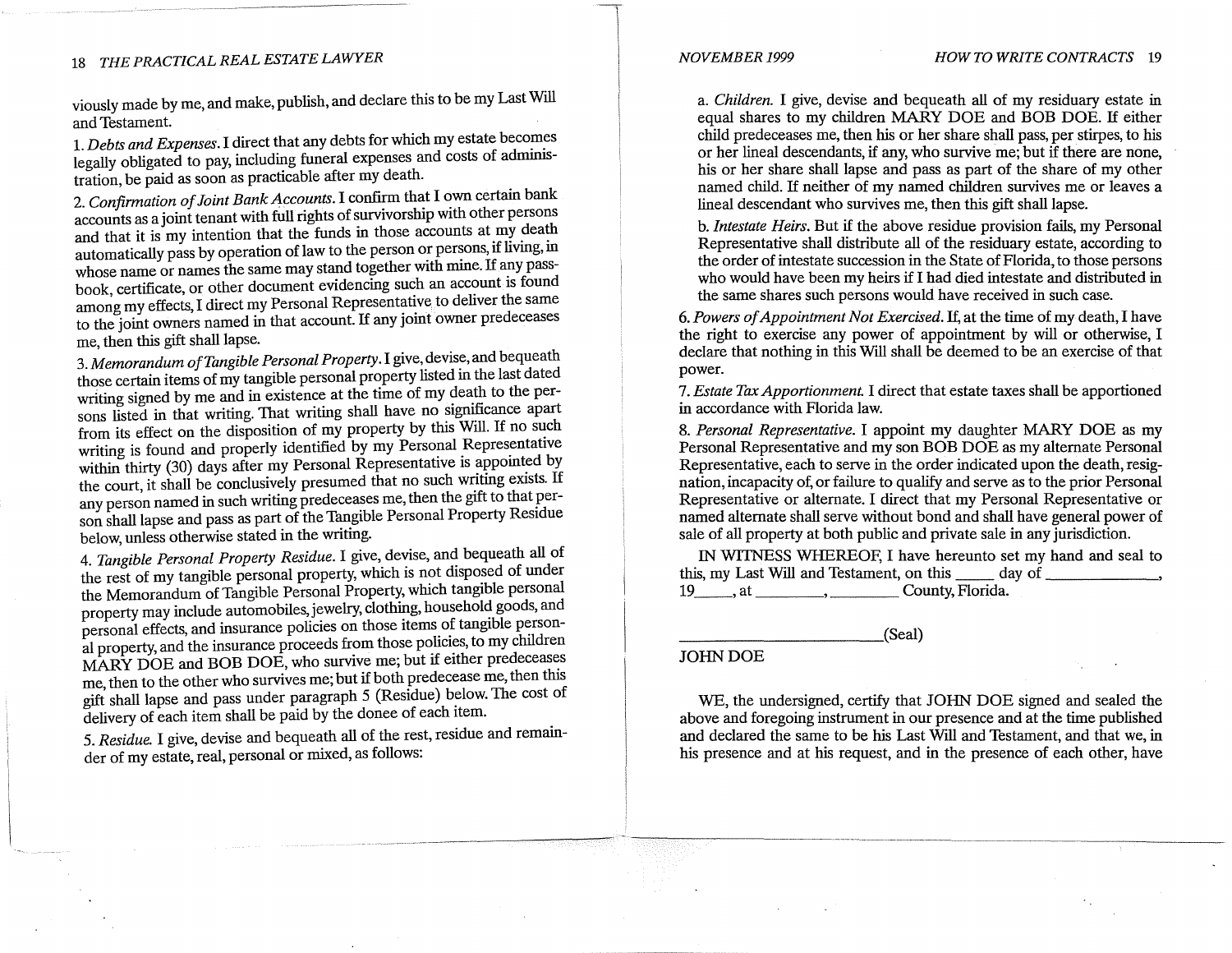viously made by me, and make, publish, and declare this to be my Last Will and Testament.

1. *Debts and Expenses*. I direct that any debts for which my estate becomes legally obligated to pay, including funeral expenses and costs of administration, be paid as soon as practicable after my death.

2. *Confirmation of Joint Bank Accounts.* I confirm that I own certain bank accounts as a joint tenant with full rights of survivorship with other persons and that it is my intention that the funds in those accounts at  $m$  death automatically pass by operation of law to the person or persons, if livmg, m whose name or names the same may stand together with mine. If any passbook, certificate, or other document evidencing such an account is found among my effects, I direct my Personal Representative to deliver the same to the joint owners named in that account. If any joint owner predeceases me, then this gift shall lapse.

3. *Memorandum of Tangible Personal Property.* I give, devise, and bequeath those certain items of my tangible personal property listed in the last dated writing signed by me and in existence at the time of my death to the persons listed in that writing. That writing shall have no significance apart from its effect on the disposition of  $m\bar{y}$  property by this Will. If no such writing is found and properly identified by my Personal Representative within thirty (30) days after my Personal Representative is appointed by the court, it shall be conclusively presumed that no such writing exists. If any person named in such writing predeceases me, then the gift to that person shall lapse and pass as part of the Tangible Personal Property Residue below, unless otherwise stated in the writing.

4. *Tangible Personal Property Residue.* I give, devise, and bequeath all of the rest of my tangible personal property, which is not disposed of under the Memorandum of Tangible Personal Property, which tangible personal property may include automobiles, jewelry, clothing, household goods, and personal effects, and insurance policies on those items of tangible personal property, and the insurance proceeds from those policies, to my children MARY DOE and BOB DOE, who survive me; but if either predeceases me, then to the other who survives me; but if both predecease me, then this gift shall lapse and pass under paragraph 5 (Residue) below. The cost of delivery of each item shall be paid by the donee of each item.

5. *Residue.* I give, devise and bequeath all of the rest, residue and remainder of my estate, real, personal or mixed, as follows:

a. *Children.* I give, devise and bequeath all of my residuary estate in equal shares to my children MARY DOE and BOB DOE. If either child predeceases me, then his or her share shall pass, per stirpes, to his or her lineal descendants, if any, who survive me; but if there are none, his or her share shall lapse and pass as part of the share of my other named child. If neither of my named children survives me or leaves a lineal descendant who survives me, then this gift shall lapse.

b. *Intestate Heirs.* But if the above residue provision fails, my Personal Representative shall distribute all of the residuary estate, according to the order of intestate succession in the State of Florida, to those persons who would have been my heirs if I had died intestate and distributed in the same shares such persons would have received in such case.

6. *Powers of Appointment Not Exercised.* If, at the time of my death, I have the right to exercise any power of appointinent by will or otherwise, I declare that nothing in this Will shall be deemed to be an exercise of that power.

7. *Estate Tax Apportionment.* I direct that estate taxes shall be apportioned in accordance with Florida law.

8. *Personal Representative.* I appoint my daughter MARY DOE as my Personal Representative and my son BOB DOE as my alternate Personal Representative, each to serve in the order indicated upon the death, resignation, incapacity of, or failure to qualify and serve as to the prior Personal Representative or alternate. I direct that my Personal Representative or named alternate shall serve without bond and shall have general power of sale of all property at both public and private sale in any jurisdiction.

IN WTINESS WHEREOF, I have hereunto set my hand and seal to this, my Last Will and Testament, on this \_\_\_\_\_\_ day of 19 \_\_\_, at \_\_\_\_\_\_\_\_, \_\_\_\_\_\_\_ County, Florida.

\_\_\_\_\_\_\_\_\_\_ (Seal)

### JOHN DOE

WE, the undersigned, certify that JOHN DOE signed and sealed the above and foregoing instrument in our presence and at the time published and declared the same to be his Last Will and Testament, and that we, in his presence and at his request, and in the presence of each other, have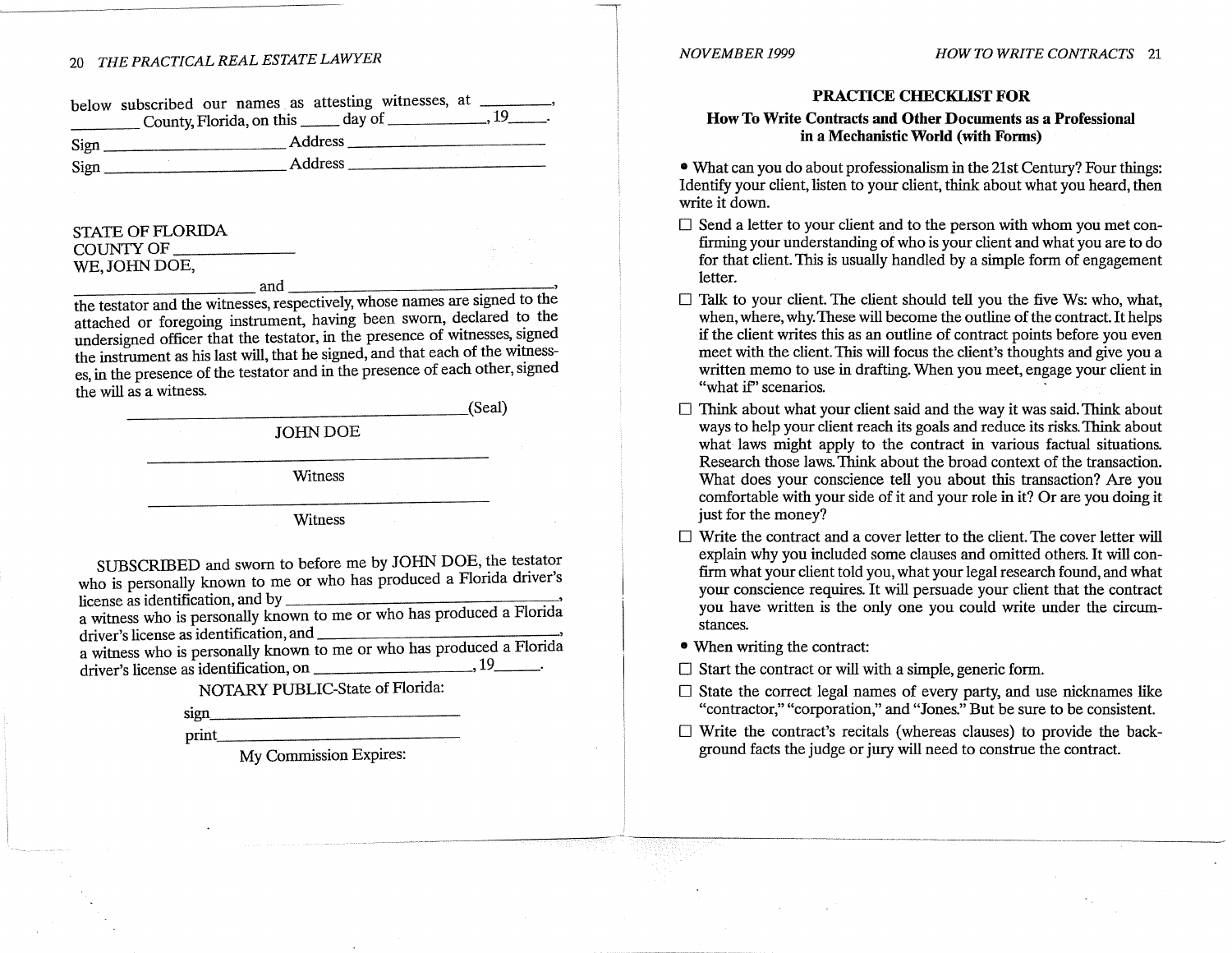| below subscribed our names as attesting witnesses, at _ |  |  |  |                |
|---------------------------------------------------------|--|--|--|----------------|
| County, Florida, on this ______ day of __               |  |  |  | $\frac{19}{1}$ |
|                                                         |  |  |  |                |

Sign \_\_\_\_\_\_\_\_\_\_ Address \_\_\_\_\_\_\_\_\_\_ \_ Sign \_\_\_\_\_\_\_\_\_\_ Address \_\_\_\_\_\_\_\_\_\_ \_

# STATE OF FLORIDA COUNTY OF WE, JOHN DOE,  $and$

the testator and the witnesses, respectively, whose names are signed to the attached or foregoing instrument, having been sworn, declared to the undersigned officer that the testator, in the presence of witnesses, signed the instrument as his last will, that he signed, and that each of the witnesses, in the presence of the testator and in the presence of each other, signed the will as a witness.

 $\qquad \qquad \text{(Seal)}$ 

JOHN DOE

Witness

Witness

SUBSCRIBED and sworn to before me by JOHN DOE, the testator who is personally known to me or who has produced a Florida driver's  $license$  as identification, and by  $\qquad \qquad$ 

a witness who is personally known to me or who has produced a Florida driver's license as identification, and

a witness who is personally known to me or who has produced a Florida driver's license as identification, on  $\frac{1}{\sqrt{1-\frac{1}{n}}}\left(1-\frac{1}{n}\right)$ 

**NOTARY** PUBLIC-State of Florida:

sign\_

print. \_\_\_\_\_\_\_\_\_\_\_\_ \_

My Commission Expires:

### **PRACTICE CHECKLIST FOR**

### **How To Write Contracts and Other Documents as a Professional in a Mechanistic World (with Forms)**

• What can you do about professionalism in the 21st Century? Four things: Identify your client, listen to your client, think about what you heard, then write it down.

- $\square$  Send a letter to your client and to the person with whom you met confirming your understanding of who is your client and what you are to do for that client. This is usually handled by a simple form of engagement letter.
- $\square$  Talk to your client. The client should tell you the five Ws: who, what, when, where, why. These will become the outline of the contract. It helps if the client writes this as an outline of contract points before you even meet with the client. This will focus the client's thoughts and give you a written memo to use in drafting. When you meet, engage your client in "what if" scenarios.
- □ Think about what your client said and the way it was said. Think about ways to help your client reach its goals and reduce its risks. Think about what laws might apply to the contract in various factual situations. Research those laws. Think about the broad context of the transaction. What does your conscience tell you about this transaction? Are you comfortable with your side of it and your role in it? Or are you doing it just for the money?
- $\Box$  Write the contract and a cover letter to the client. The cover letter will explain why you included some clauses and omitted others. It will confirm what your client told you, what your legal research found, and what your conscience requires. It will persuade your client that the contract you have written is the only one you could write under the circumstances.
- When writing the contract:
- $\Box$  Start the contract or will with a simple, generic form.
- $\Box$  State the correct legal names of every party, and use nicknames like "contractor," "corporation," and "Jones." But be sure to be consistent.
- $\square$  Write the contract's recitals (whereas clauses) to provide the background facts the judge or jury will need to construe the contract.